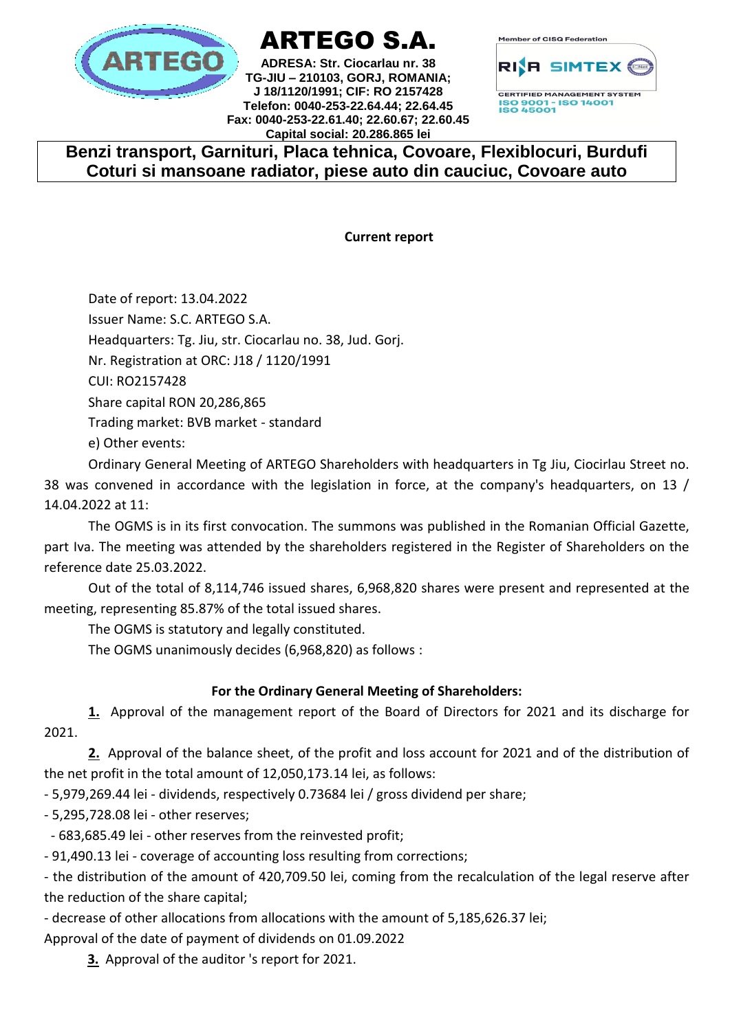

# ARTEGO S.A.

**ADRESA: Str. Ciocarlau nr. 38 TG-JIU – 210103, GORJ, ROMANIA; J 18/1120/1991; CIF: RO 2157428 Telefon: 0040-253-22.64.44; 22.64.45 Fax: 0040-253-22.61.40; 22.60.67; 22.60.45 Capital social: 20.286.865 lei**



**CERTIFIED MANAGEMENT SYSTEM** ISO 9001 - ISO 14001<br>ISO 45001

# **Benzi transport, Garnituri, Placa tehnica, Covoare, Flexiblocuri, Burdufi Coturi si mansoane radiator, piese auto din cauciuc, Covoare auto**

**Current report**

Date of report: 13.04.2022 Issuer Name: S.C. ARTEGO S.A. Headquarters: Tg. Jiu, str. Ciocarlau no. 38, Jud. Gorj. Nr. Registration at ORC: J18 / 1120/1991 CUI: RO2157428 Share capital RON 20,286,865 Trading market: BVB market - standard e) Other events:

Ordinary General Meeting of ARTEGO Shareholders with headquarters in Tg Jiu, Ciocirlau Street no. 38 was convened in accordance with the legislation in force, at the company's headquarters, on 13 / 14.04.2022 at 11:

The OGMS is in its first convocation. The summons was published in the Romanian Official Gazette, part Iva. The meeting was attended by the shareholders registered in the Register of Shareholders on the reference date 25.03.2022.

Out of the total of 8,114,746 issued shares, 6,968,820 shares were present and represented at the meeting, representing 85.87% of the total issued shares.

The OGMS is statutory and legally constituted.

The OGMS unanimously decides (6,968,820) as follows :

## **For the Ordinary General Meeting of Shareholders:**

**1.** Approval of the management report of the Board of Directors for 2021 and its discharge for 2021.

**2.** Approval of the balance sheet, of the profit and loss account for 2021 and of the distribution of the net profit in the total amount of 12,050,173.14 lei, as follows:

- 5,979,269.44 lei - dividends, respectively 0.73684 lei / gross dividend per share;

- 5,295,728.08 lei - other reserves;

- 683,685.49 lei - other reserves from the reinvested profit;

- 91,490.13 lei - coverage of accounting loss resulting from corrections;

- the distribution of the amount of 420,709.50 lei, coming from the recalculation of the legal reserve after the reduction of the share capital;

- decrease of other allocations from allocations with the amount of 5,185,626.37 lei;

Approval of the date of payment of dividends on 01.09.2022

**3.** Approval of the auditor 's report for 2021.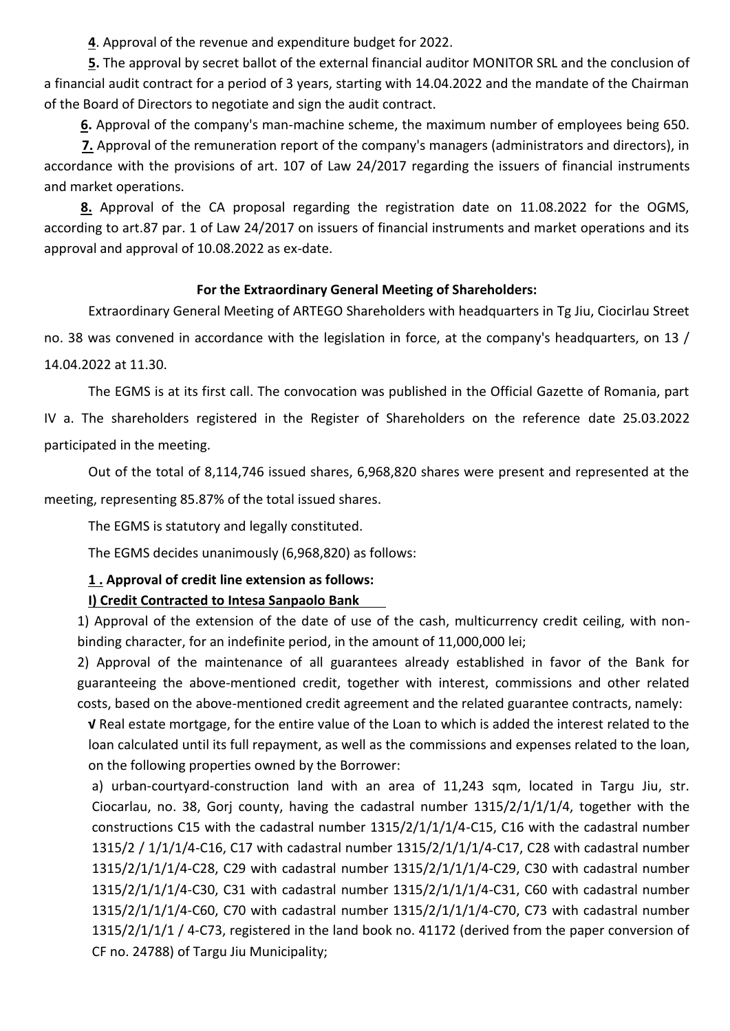**4**. Approval of the revenue and expenditure budget for 2022.

**5.** The approval by secret ballot of the external financial auditor MONITOR SRL and the conclusion of a financial audit contract for a period of 3 years, starting with 14.04.2022 and the mandate of the Chairman of the Board of Directors to negotiate and sign the audit contract.

**6.** Approval of the company's man-machine scheme, the maximum number of employees being 650.

 **7.** Approval of the remuneration report of the company's managers (administrators and directors), in accordance with the provisions of art. 107 of Law 24/2017 regarding the issuers of financial instruments and market operations.

 **8.** Approval of the CA proposal regarding the registration date on 11.08.2022 for the OGMS, according to art.87 par. 1 of Law 24/2017 on issuers of financial instruments and market operations and its approval and approval of 10.08.2022 as ex-date.

#### **For the Extraordinary General Meeting of Shareholders:**

Extraordinary General Meeting of ARTEGO Shareholders with headquarters in Tg Jiu, Ciocirlau Street no. 38 was convened in accordance with the legislation in force, at the company's headquarters, on 13 / 14.04.2022 at 11.30.

The EGMS is at its first call. The convocation was published in the Official Gazette of Romania, part IV a. The shareholders registered in the Register of Shareholders on the reference date 25.03.2022 participated in the meeting.

Out of the total of 8,114,746 issued shares, 6,968,820 shares were present and represented at the meeting, representing 85.87% of the total issued shares.

The EGMS is statutory and legally constituted.

The EGMS decides unanimously (6,968,820) as follows:

### **1 . Approval of credit line extension as follows: I) Credit Contracted to Intesa Sanpaolo Bank**

1) Approval of the extension of the date of use of the cash, multicurrency credit ceiling, with nonbinding character, for an indefinite period, in the amount of 11,000,000 lei;

2) Approval of the maintenance of all guarantees already established in favor of the Bank for guaranteeing the above-mentioned credit, together with interest, commissions and other related costs, based on the above-mentioned credit agreement and the related guarantee contracts, namely:

**√** Real estate mortgage, for the entire value of the Loan to which is added the interest related to the loan calculated until its full repayment, as well as the commissions and expenses related to the loan, on the following properties owned by the Borrower:

a) urban-courtyard-construction land with an area of 11,243 sqm, located in Targu Jiu, str. Ciocarlau, no. 38, Gorj county, having the cadastral number 1315/2/1/1/1/4, together with the constructions C15 with the cadastral number 1315/2/1/1/1/4-C15, C16 with the cadastral number 1315/2 / 1/1/1/4-C16, C17 with cadastral number 1315/2/1/1/1/4-C17, C28 with cadastral number 1315/2/1/1/1/4-C28, C29 with cadastral number 1315/2/1/1/1/4-C29, C30 with cadastral number 1315/2/1/1/1/4-C30, C31 with cadastral number 1315/2/1/1/1/4-C31, C60 with cadastral number 1315/2/1/1/1/4-C60, C70 with cadastral number 1315/2/1/1/1/4-C70, C73 with cadastral number 1315/2/1/1/1 / 4-C73, registered in the land book no. 41172 (derived from the paper conversion of CF no. 24788) of Targu Jiu Municipality;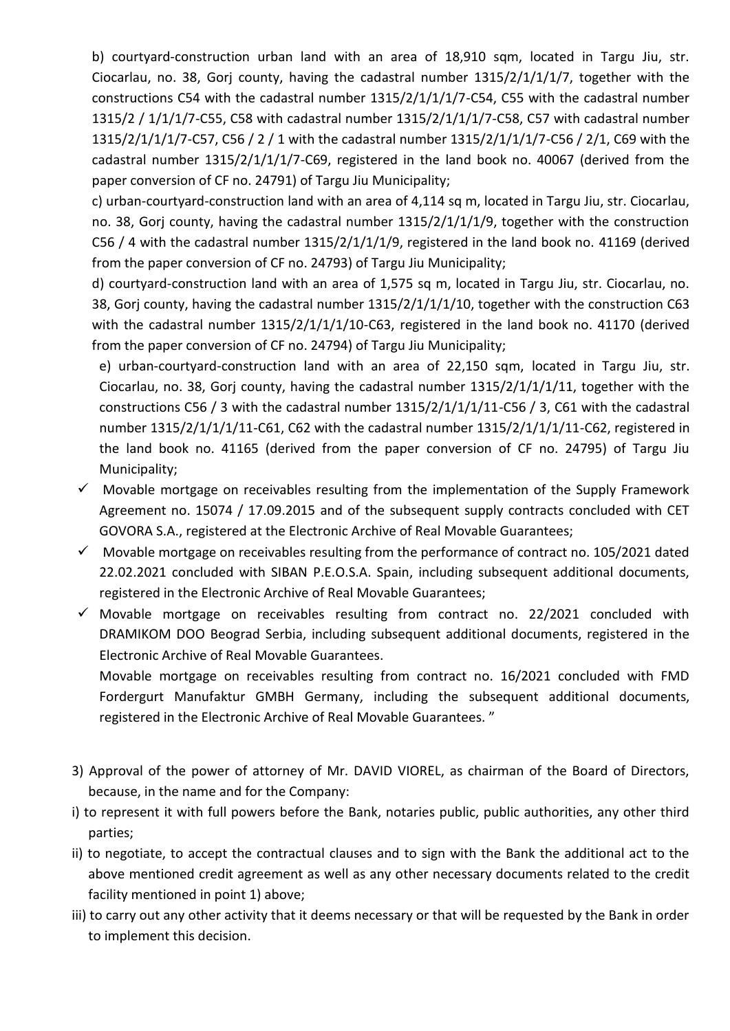b) courtyard-construction urban land with an area of 18,910 sqm, located in Targu Jiu, str. Ciocarlau, no. 38, Gorj county, having the cadastral number 1315/2/1/1/1/7, together with the constructions C54 with the cadastral number 1315/2/1/1/1/7-C54, C55 with the cadastral number 1315/2 / 1/1/1/7-C55, C58 with cadastral number 1315/2/1/1/1/7-C58, C57 with cadastral number 1315/2/1/1/1/7-C57, C56 / 2 / 1 with the cadastral number 1315/2/1/1/1/7-C56 / 2/1, C69 with the cadastral number 1315/2/1/1/1/7-C69, registered in the land book no. 40067 (derived from the paper conversion of CF no. 24791) of Targu Jiu Municipality;

c) urban-courtyard-construction land with an area of 4,114 sq m, located in Targu Jiu, str. Ciocarlau, no. 38, Gorj county, having the cadastral number 1315/2/1/1/1/9, together with the construction C56 / 4 with the cadastral number 1315/2/1/1/1/9, registered in the land book no. 41169 (derived from the paper conversion of CF no. 24793) of Targu Jiu Municipality;

d) courtyard-construction land with an area of 1,575 sq m, located in Targu Jiu, str. Ciocarlau, no. 38, Gorj county, having the cadastral number 1315/2/1/1/1/10, together with the construction C63 with the cadastral number 1315/2/1/1/1/10-C63, registered in the land book no. 41170 (derived from the paper conversion of CF no. 24794) of Targu Jiu Municipality;

e) urban-courtyard-construction land with an area of 22,150 sqm, located in Targu Jiu, str. Ciocarlau, no. 38, Gorj county, having the cadastral number  $1315/2/1/1/11$ , together with the constructions C56 / 3 with the cadastral number 1315/2/1/1/1/11-C56 / 3, C61 with the cadastral number 1315/2/1/1/1/11-C61, C62 with the cadastral number 1315/2/1/1/1/11-C62, registered in the land book no. 41165 (derived from the paper conversion of CF no. 24795) of Targu Jiu Municipality;

- $\checkmark$  Movable mortgage on receivables resulting from the implementation of the Supply Framework Agreement no. 15074 / 17.09.2015 and of the subsequent supply contracts concluded with CET GOVORA S.A., registered at the Electronic Archive of Real Movable Guarantees;
- $\checkmark$  Movable mortgage on receivables resulting from the performance of contract no. 105/2021 dated 22.02.2021 concluded with SIBAN P.E.O.S.A. Spain, including subsequent additional documents, registered in the Electronic Archive of Real Movable Guarantees;
- $\checkmark$  Movable mortgage on receivables resulting from contract no. 22/2021 concluded with DRAMIKOM DOO Beograd Serbia, including subsequent additional documents, registered in the Electronic Archive of Real Movable Guarantees.

Movable mortgage on receivables resulting from contract no. 16/2021 concluded with FMD Fordergurt Manufaktur GMBH Germany, including the subsequent additional documents, registered in the Electronic Archive of Real Movable Guarantees. "

- 3) Approval of the power of attorney of Mr. DAVID VIOREL, as chairman of the Board of Directors, because, in the name and for the Company:
- i) to represent it with full powers before the Bank, notaries public, public authorities, any other third parties;
- ii) to negotiate, to accept the contractual clauses and to sign with the Bank the additional act to the above mentioned credit agreement as well as any other necessary documents related to the credit facility mentioned in point 1) above;
- iii) to carry out any other activity that it deems necessary or that will be requested by the Bank in order to implement this decision.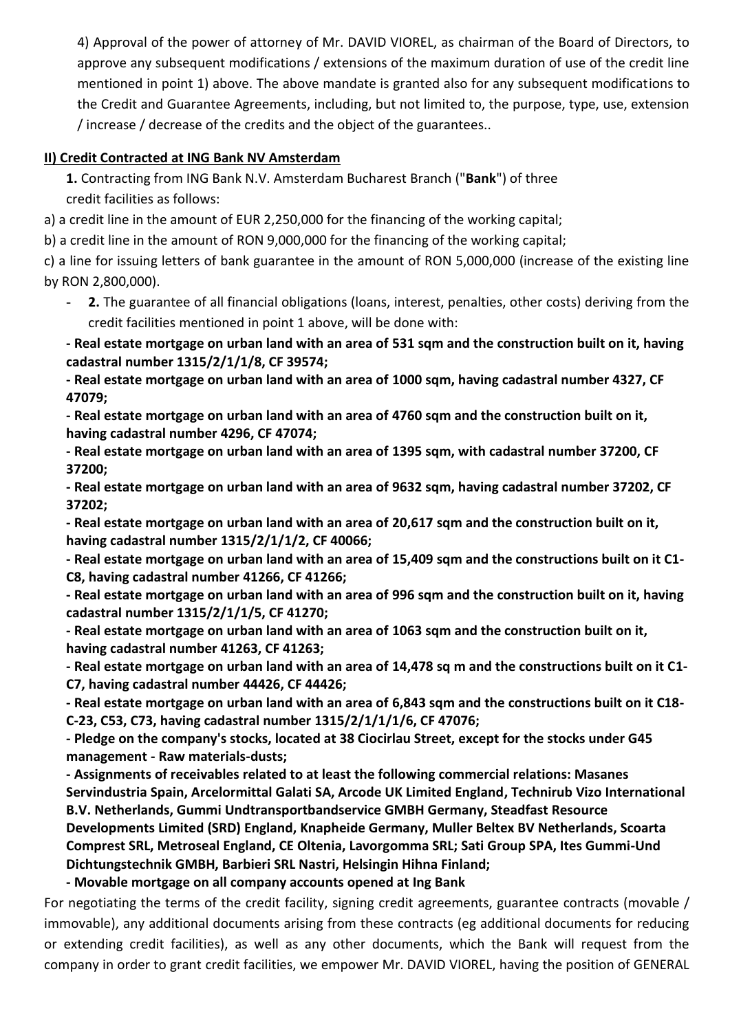4) Approval of the power of attorney of Mr. DAVID VIOREL, as chairman of the Board of Directors, to approve any subsequent modifications / extensions of the maximum duration of use of the credit line mentioned in point 1) above. The above mandate is granted also for any subsequent modifications to the Credit and Guarantee Agreements, including, but not limited to, the purpose, type, use, extension / increase / decrease of the credits and the object of the guarantees..

#### **II) Credit Contracted at ING Bank NV Amsterdam**

**1.** Contracting from ING Bank N.V. Amsterdam Bucharest Branch ("**Bank**") of three credit facilities as follows:

a) a credit line in the amount of EUR 2,250,000 for the financing of the working capital;

b) a credit line in the amount of RON 9,000,000 for the financing of the working capital;

c) a line for issuing letters of bank guarantee in the amount of RON 5,000,000 (increase of the existing line by RON 2,800,000).

2. The guarantee of all financial obligations (loans, interest, penalties, other costs) deriving from the credit facilities mentioned in point 1 above, will be done with:

**- Real estate mortgage on urban land with an area of 531 sqm and the construction built on it, having cadastral number 1315/2/1/1/8, CF 39574;**

**- Real estate mortgage on urban land with an area of 1000 sqm, having cadastral number 4327, CF 47079;**

**- Real estate mortgage on urban land with an area of 4760 sqm and the construction built on it, having cadastral number 4296, CF 47074;**

**- Real estate mortgage on urban land with an area of 1395 sqm, with cadastral number 37200, CF 37200;**

**- Real estate mortgage on urban land with an area of 9632 sqm, having cadastral number 37202, CF 37202;**

**- Real estate mortgage on urban land with an area of 20,617 sqm and the construction built on it, having cadastral number 1315/2/1/1/2, CF 40066;**

**- Real estate mortgage on urban land with an area of 15,409 sqm and the constructions built on it C1- C8, having cadastral number 41266, CF 41266;**

**- Real estate mortgage on urban land with an area of 996 sqm and the construction built on it, having cadastral number 1315/2/1/1/5, CF 41270;**

**- Real estate mortgage on urban land with an area of 1063 sqm and the construction built on it, having cadastral number 41263, CF 41263;**

**- Real estate mortgage on urban land with an area of 14,478 sq m and the constructions built on it C1- C7, having cadastral number 44426, CF 44426;**

**- Real estate mortgage on urban land with an area of 6,843 sqm and the constructions built on it C18- C-23, C53, C73, having cadastral number 1315/2/1/1/1/6, CF 47076;**

**- Pledge on the company's stocks, located at 38 Ciocirlau Street, except for the stocks under G45 management - Raw materials-dusts;**

**- Assignments of receivables related to at least the following commercial relations: Masanes Servindustria Spain, Arcelormittal Galati SA, Arcode UK Limited England, Technirub Vizo International B.V. Netherlands, Gummi Undtransportbandservice GMBH Germany, Steadfast Resource Developments Limited (SRD) England, Knapheide Germany, Muller Beltex BV Netherlands, Scoarta Comprest SRL, Metroseal England, CE Oltenia, Lavorgomma SRL; Sati Group SPA, Ites Gummi-Und Dichtungstechnik GMBH, Barbieri SRL Nastri, Helsingin Hihna Finland;**

**- Movable mortgage on all company accounts opened at Ing Bank**

For negotiating the terms of the credit facility, signing credit agreements, guarantee contracts (movable / immovable), any additional documents arising from these contracts (eg additional documents for reducing or extending credit facilities), as well as any other documents, which the Bank will request from the company in order to grant credit facilities, we empower Mr. DAVID VIOREL, having the position of GENERAL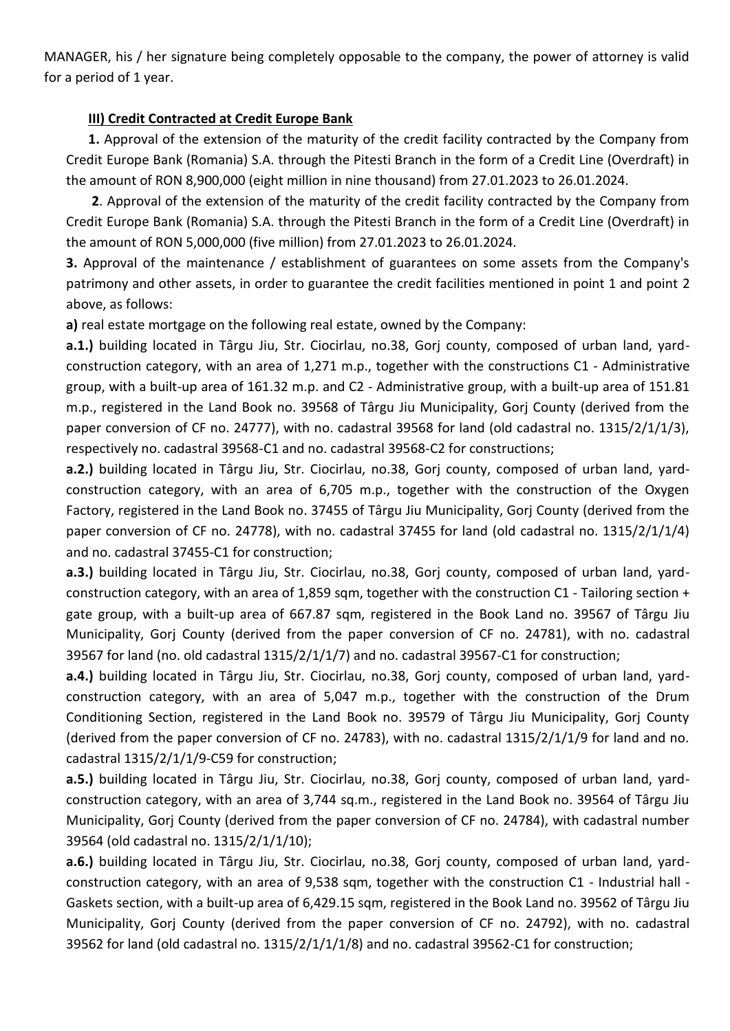MANAGER, his / her signature being completely opposable to the company, the power of attorney is valid for a period of 1 year.

#### **III) Credit Contracted at Credit Europe Bank**

**1.** Approval of the extension of the maturity of the credit facility contracted by the Company from Credit Europe Bank (Romania) S.A. through the Pitesti Branch in the form of a Credit Line (Overdraft) in the amount of RON 8,900,000 (eight million in nine thousand) from 27.01.2023 to 26.01.2024.

**2**. Approval of the extension of the maturity of the credit facility contracted by the Company from Credit Europe Bank (Romania) S.A. through the Pitesti Branch in the form of a Credit Line (Overdraft) in the amount of RON 5,000,000 (five million) from 27.01.2023 to 26.01.2024.

**3.** Approval of the maintenance / establishment of guarantees on some assets from the Company's patrimony and other assets, in order to guarantee the credit facilities mentioned in point 1 and point 2 above, as follows:

**a)** real estate mortgage on the following real estate, owned by the Company:

**a.1.)** building located in Târgu Jiu, Str. Ciocirlau, no.38, Gorj county, composed of urban land, yardconstruction category, with an area of 1,271 m.p., together with the constructions C1 - Administrative group, with a built-up area of 161.32 m.p. and C2 - Administrative group, with a built-up area of 151.81 m.p., registered in the Land Book no. 39568 of Târgu Jiu Municipality, Gorj County (derived from the paper conversion of CF no. 24777), with no. cadastral 39568 for land (old cadastral no. 1315/2/1/1/3), respectively no. cadastral 39568-C1 and no. cadastral 39568-C2 for constructions;

**a.2.)** building located in Târgu Jiu, Str. Ciocirlau, no.38, Gorj county, composed of urban land, yardconstruction category, with an area of 6,705 m.p., together with the construction of the Oxygen Factory, registered in the Land Book no. 37455 of Târgu Jiu Municipality, Gorj County (derived from the paper conversion of CF no. 24778), with no. cadastral 37455 for land (old cadastral no. 1315/2/1/1/4) and no. cadastral 37455-C1 for construction;

**a.3.)** building located in Târgu Jiu, Str. Ciocirlau, no.38, Gorj county, composed of urban land, yardconstruction category, with an area of 1,859 sqm, together with the construction C1 - Tailoring section + gate group, with a built-up area of 667.87 sqm, registered in the Book Land no. 39567 of Târgu Jiu Municipality, Gorj County (derived from the paper conversion of CF no. 24781), with no. cadastral 39567 for land (no. old cadastral 1315/2/1/1/7) and no. cadastral 39567-C1 for construction;

**a.4.)** building located in Târgu Jiu, Str. Ciocirlau, no.38, Gorj county, composed of urban land, yardconstruction category, with an area of 5,047 m.p., together with the construction of the Drum Conditioning Section, registered in the Land Book no. 39579 of Târgu Jiu Municipality, Gorj County (derived from the paper conversion of CF no. 24783), with no. cadastral 1315/2/1/1/9 for land and no. cadastral 1315/2/1/1/9-C59 for construction;

**a.5.)** building located in Târgu Jiu, Str. Ciocirlau, no.38, Gorj county, composed of urban land, yardconstruction category, with an area of 3,744 sq.m., registered in the Land Book no. 39564 of Târgu Jiu Municipality, Gorj County (derived from the paper conversion of CF no. 24784), with cadastral number 39564 (old cadastral no. 1315/2/1/1/10);

**a.6.)** building located in Târgu Jiu, Str. Ciocirlau, no.38, Gorj county, composed of urban land, yardconstruction category, with an area of 9,538 sqm, together with the construction C1 - Industrial hall - Gaskets section, with a built-up area of 6,429.15 sqm, registered in the Book Land no. 39562 of Târgu Jiu Municipality, Gorj County (derived from the paper conversion of CF no. 24792), with no. cadastral 39562 for land (old cadastral no. 1315/2/1/1/1/8) and no. cadastral 39562-C1 for construction;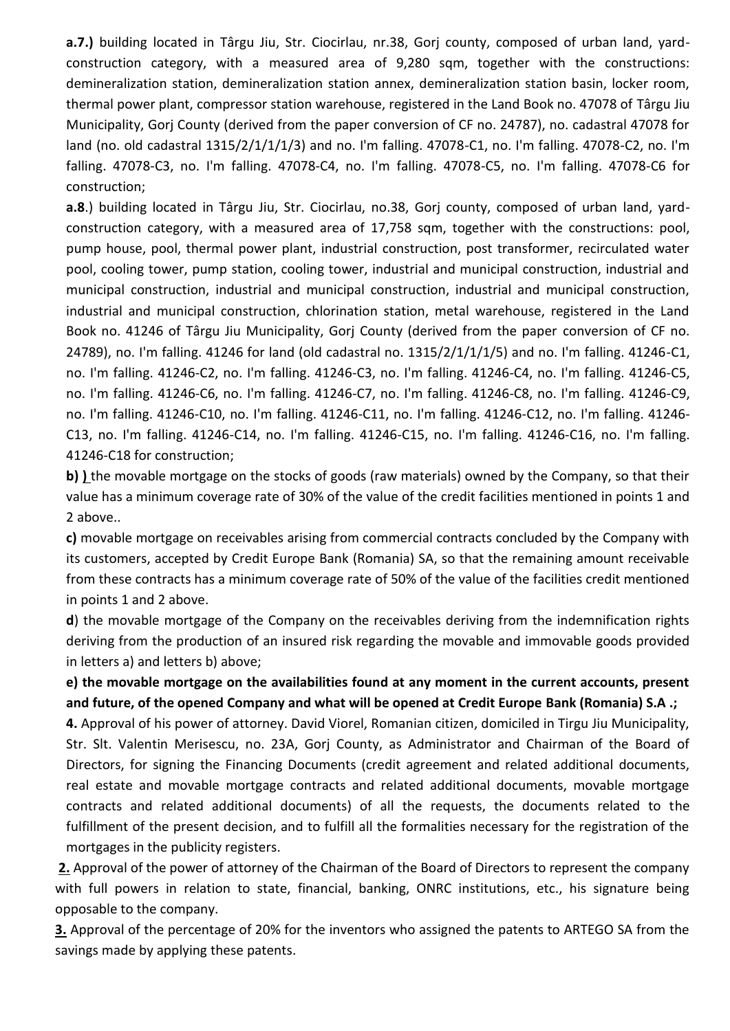**a.7.)** building located in Târgu Jiu, Str. Ciocirlau, nr.38, Gorj county, composed of urban land, yardconstruction category, with a measured area of 9,280 sqm, together with the constructions: demineralization station, demineralization station annex, demineralization station basin, locker room, thermal power plant, compressor station warehouse, registered in the Land Book no. 47078 of Târgu Jiu Municipality, Gorj County (derived from the paper conversion of CF no. 24787), no. cadastral 47078 for land (no. old cadastral 1315/2/1/1/1/3) and no. I'm falling. 47078-C1, no. I'm falling. 47078-C2, no. I'm falling. 47078-C3, no. I'm falling. 47078-C4, no. I'm falling. 47078-C5, no. I'm falling. 47078-C6 for construction;

**a.8**.) building located in Târgu Jiu, Str. Ciocirlau, no.38, Gorj county, composed of urban land, yardconstruction category, with a measured area of 17,758 sqm, together with the constructions: pool, pump house, pool, thermal power plant, industrial construction, post transformer, recirculated water pool, cooling tower, pump station, cooling tower, industrial and municipal construction, industrial and municipal construction, industrial and municipal construction, industrial and municipal construction, industrial and municipal construction, chlorination station, metal warehouse, registered in the Land Book no. 41246 of Târgu Jiu Municipality, Gorj County (derived from the paper conversion of CF no. 24789), no. I'm falling. 41246 for land (old cadastral no. 1315/2/1/1/1/5) and no. I'm falling. 41246-C1, no. I'm falling. 41246-C2, no. I'm falling. 41246-C3, no. I'm falling. 41246-C4, no. I'm falling. 41246-C5, no. I'm falling. 41246-C6, no. I'm falling. 41246-C7, no. I'm falling. 41246-C8, no. I'm falling. 41246-C9, no. I'm falling. 41246-C10, no. I'm falling. 41246-C11, no. I'm falling. 41246-C12, no. I'm falling. 41246- C13, no. I'm falling. 41246-C14, no. I'm falling. 41246-C15, no. I'm falling. 41246-C16, no. I'm falling. 41246-C18 for construction;

**b) )** the movable mortgage on the stocks of goods (raw materials) owned by the Company, so that their value has a minimum coverage rate of 30% of the value of the credit facilities mentioned in points 1 and 2 above..

**c)** movable mortgage on receivables arising from commercial contracts concluded by the Company with its customers, accepted by Credit Europe Bank (Romania) SA, so that the remaining amount receivable from these contracts has a minimum coverage rate of 50% of the value of the facilities credit mentioned in points 1 and 2 above.

**d**) the movable mortgage of the Company on the receivables deriving from the indemnification rights deriving from the production of an insured risk regarding the movable and immovable goods provided in letters a) and letters b) above;

**e) the movable mortgage on the availabilities found at any moment in the current accounts, present and future, of the opened Company and what will be opened at Credit Europe Bank (Romania) S.A .;**

**4.** Approval of his power of attorney. David Viorel, Romanian citizen, domiciled in Tirgu Jiu Municipality, Str. Slt. Valentin Merisescu, no. 23A, Gorj County, as Administrator and Chairman of the Board of Directors, for signing the Financing Documents (credit agreement and related additional documents, real estate and movable mortgage contracts and related additional documents, movable mortgage contracts and related additional documents) of all the requests, the documents related to the fulfillment of the present decision, and to fulfill all the formalities necessary for the registration of the mortgages in the publicity registers.

**2.** Approval of the power of attorney of the Chairman of the Board of Directors to represent the company with full powers in relation to state, financial, banking, ONRC institutions, etc., his signature being opposable to the company.

**3.** Approval of the percentage of 20% for the inventors who assigned the patents to ARTEGO SA from the savings made by applying these patents.